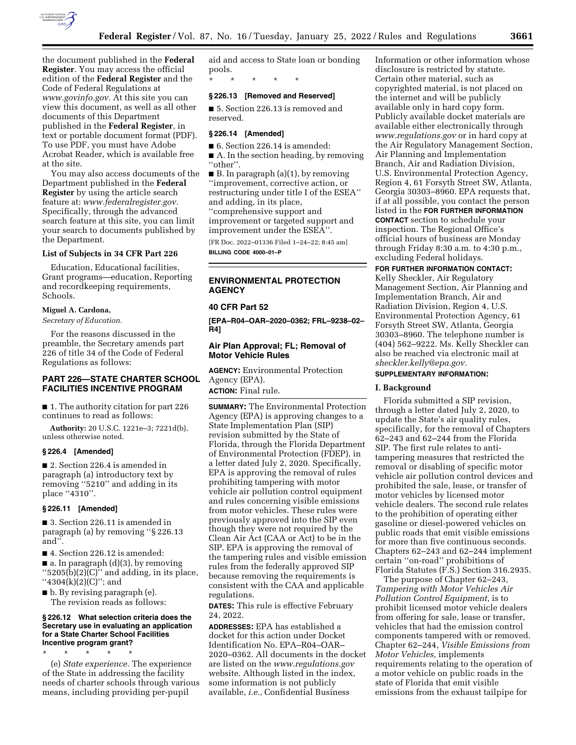

the document published in the **Federal Register**. You may access the official edition of the **Federal Register** and the Code of Federal Regulations at *[www.govinfo.gov.](http://www.govinfo.gov)* At this site you can view this document, as well as all other documents of this Department published in the **Federal Register**, in text or portable document format (PDF). To use PDF, you must have Adobe Acrobat Reader, which is available free at the site.

You may also access documents of the Department published in the **Federal Register** by using the article search feature at: *[www.federalregister.gov.](http://www.federalregister.gov)*  Specifically, through the advanced search feature at this site, you can limit your search to documents published by the Department.

### **List of Subjects in 34 CFR Part 226**

Education, Educational facilities, Grant programs—education, Reporting and recordkeeping requirements, Schools.

## **Miguel A. Cardona,**

*Secretary of Education.* 

For the reasons discussed in the preamble, the Secretary amends part 226 of title 34 of the Code of Federal Regulations as follows:

## **PART 226—STATE CHARTER SCHOOL FACILITIES INCENTIVE PROGRAM**

■ 1. The authority citation for part 226 continues to read as follows:

**Authority:** 20 U.S.C. 1221e–3; 7221d(b), unless otherwise noted.

## **§ 226.4 [Amended]**

■ 2. Section 226.4 is amended in paragraph (a) introductory text by removing ''5210'' and adding in its place ''4310''.

#### **§ 226.11 [Amended]**

■ 3. Section 226.11 is amended in paragraph (a) by removing ''§ 226.13 and''.

■ 4. Section 226.12 is amended:

■ a. In paragraph (d)(3), by removing  $``5205(b)(2)(C)"$  and adding, in its place, ''4304(k)(2)(C)''; and

■ b. By revising paragraph (e). The revision reads as follows:

\* \* \* \* \*

## **§ 226.12 What selection criteria does the Secretary use in evaluating an application for a State Charter School Facilities Incentive program grant?**

(e) *State experience.* The experience of the State in addressing the facility needs of charter schools through various means, including providing per-pupil

aid and access to State loan or bonding pools.

# \* \* \* \* \*

# **§ 226.13 [Removed and Reserved]**

■ 5. Section 226.13 is removed and reserved.

### **§ 226.14 [Amended]**

- 6. Section 226.14 is amended:
- A. In the section heading, by removing "other".
- $\blacksquare$  B. In paragraph (a)(1), by removing ''improvement, corrective action, or restructuring under title I of the ESEA'' and adding, in its place, ''comprehensive support and improvement or targeted support and improvement under the ESEA''.

[FR Doc. 2022–01336 Filed 1–24–22; 8:45 am] **BILLING CODE 4000–01–P** 

# **ENVIRONMENTAL PROTECTION AGENCY**

#### **40 CFR Part 52**

**[EPA–R04–OAR–2020–0362; FRL–9238–02– R4]** 

## **Air Plan Approval; FL; Removal of Motor Vehicle Rules**

**AGENCY:** Environmental Protection Agency (EPA).

**ACTION:** Final rule.

**SUMMARY:** The Environmental Protection Agency (EPA) is approving changes to a State Implementation Plan (SIP) revision submitted by the State of Florida, through the Florida Department of Environmental Protection (FDEP), in a letter dated July 2, 2020. Specifically, EPA is approving the removal of rules prohibiting tampering with motor vehicle air pollution control equipment and rules concerning visible emissions from motor vehicles. These rules were previously approved into the SIP even though they were not required by the Clean Air Act (CAA or Act) to be in the SIP. EPA is approving the removal of the tampering rules and visible emission rules from the federally approved SIP because removing the requirements is consistent with the CAA and applicable regulations.

**DATES:** This rule is effective February 24, 2022.

**ADDRESSES:** EPA has established a docket for this action under Docket Identification No. EPA–R04–OAR– 2020–0362. All documents in the docket are listed on the *[www.regulations.gov](http://www.regulations.gov)*  website. Although listed in the index, some information is not publicly available, *i.e.,* Confidential Business

Information or other information whose disclosure is restricted by statute. Certain other material, such as copyrighted material, is not placed on the internet and will be publicly available only in hard copy form. Publicly available docket materials are available either electronically through *[www.regulations.gov](http://www.regulations.gov)* or in hard copy at the Air Regulatory Management Section, Air Planning and Implementation Branch, Air and Radiation Division, U.S. Environmental Protection Agency, Region 4, 61 Forsyth Street SW, Atlanta, Georgia 30303–8960. EPA requests that, if at all possible, you contact the person listed in the **FOR FURTHER INFORMATION CONTACT** section to schedule your inspection. The Regional Office's official hours of business are Monday through Friday 8:30 a.m. to 4:30 p.m., excluding Federal holidays.

## **FOR FURTHER INFORMATION CONTACT:**

Kelly Sheckler, Air Regulatory Management Section, Air Planning and Implementation Branch, Air and Radiation Division, Region 4, U.S. Environmental Protection Agency, 61 Forsyth Street SW, Atlanta, Georgia 30303–8960. The telephone number is (404) 562–9222. Ms. Kelly Sheckler can also be reached via electronic mail at *[sheckler.kelly@epa.gov.](mailto:sheckler.kelly@epa.gov)* 

### **SUPPLEMENTARY INFORMATION:**

## **I. Background**

Florida submitted a SIP revision, through a letter dated July 2, 2020, to update the State's air quality rules, specifically, for the removal of Chapters 62–243 and 62–244 from the Florida SIP. The first rule relates to antitampering measures that restricted the removal or disabling of specific motor vehicle air pollution control devices and prohibited the sale, lease, or transfer of motor vehicles by licensed motor vehicle dealers. The second rule relates to the prohibition of operating either gasoline or diesel-powered vehicles on public roads that emit visible emissions for more than five continuous seconds. Chapters 62–243 and 62–244 implement certain ''on-road'' prohibitions of Florida Statutes (F.S.) Section 316.2935.

The purpose of Chapter 62–243, *Tampering with Motor Vehicles Air Pollution Control Equipment,* is to prohibit licensed motor vehicle dealers from offering for sale, lease or transfer, vehicles that had the emission control components tampered with or removed. Chapter 62–244, *Visible Emissions from Motor Vehicles,* implements requirements relating to the operation of a motor vehicle on public roads in the state of Florida that emit visible emissions from the exhaust tailpipe for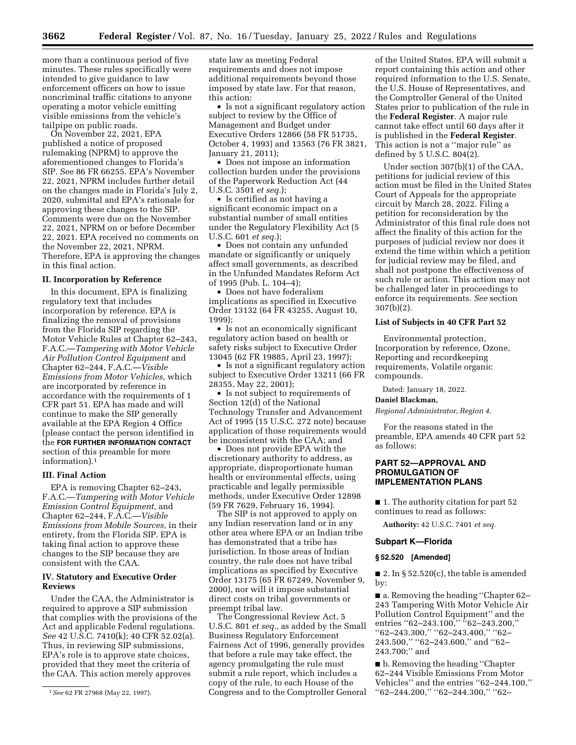more than a continuous period of five minutes. These rules specifically were intended to give guidance to law enforcement officers on how to issue noncriminal traffic citations to anyone operating a motor vehicle emitting visible emissions from the vehicle's tailpipe on public roads.

On November 22, 2021, EPA published a notice of proposed rulemaking (NPRM) to approve the aforementioned changes to Florida's SIP. See 86 FR 66255. EPA's November 22, 2021, NPRM includes further detail on the changes made in Florida's July 2, 2020, submittal and EPA's rationale for approving these changes to the SIP. Comments were due on the November 22, 2021, NPRM on or before December 22, 2021. EPA received no comments on the November 22, 2021, NPRM. Therefore, EPA is approving the changes in this final action.

#### **II. Incorporation by Reference**

In this document, EPA is finalizing regulatory text that includes incorporation by reference. EPA is finalizing the removal of provisions from the Florida SIP regarding the Motor Vehicle Rules at Chapter 62–243, F.A.C.—*Tampering with Motor Vehicle Air Pollution Control Equipment* and Chapter 62–244, F.A.C.—*Visible Emissions from Motor Vehicles,* which are incorporated by reference in accordance with the requirements of 1 CFR part 51. EPA has made and will continue to make the SIP generally available at the EPA Region 4 Office (please contact the person identified in the **FOR FURTHER INFORMATION CONTACT** section of this preamble for more information).1

#### **III. Final Action**

EPA is removing Chapter 62–243, F.A.C.—*Tampering with Motor Vehicle Emission Control Equipment,* and Chapter 62–244, F.A.C.—*Visible Emissions from Mobile Sources,* in their entirety, from the Florida SIP. EPA is taking final action to approve these changes to the SIP because they are consistent with the CAA.

### **IV. Statutory and Executive Order Reviews**

Under the CAA, the Administrator is required to approve a SIP submission that complies with the provisions of the Act and applicable Federal regulations. *See* 42 U.S.C. 7410(k); 40 CFR 52.02(a). Thus, in reviewing SIP submissions, EPA's role is to approve state choices, provided that they meet the criteria of the CAA. This action merely approves

state law as meeting Federal requirements and does not impose additional requirements beyond those imposed by state law. For that reason, this action:

• Is not a significant regulatory action subject to review by the Office of Management and Budget under Executive Orders 12866 (58 FR 51735, October 4, 1993) and 13563 (76 FR 3821, January 21, 2011);

• Does not impose an information collection burden under the provisions of the Paperwork Reduction Act (44 U.S.C. 3501 *et seq.*);

• Is certified as not having a significant economic impact on a substantial number of small entities under the Regulatory Flexibility Act (5 U.S.C. 601 *et seq.*);

• Does not contain any unfunded mandate or significantly or uniquely affect small governments, as described in the Unfunded Mandates Reform Act of 1995 (Pub. L. 104–4);

• Does not have federalism implications as specified in Executive Order 13132 (64 FR 43255, August 10, 1999);

• Is not an economically significant regulatory action based on health or safety risks subject to Executive Order 13045 (62 FR 19885, April 23, 1997);

• Is not a significant regulatory action subject to Executive Order 13211 (66 FR 28355, May 22, 2001);

• Is not subject to requirements of Section 12(d) of the National Technology Transfer and Advancement Act of 1995 (15 U.S.C. 272 note) because application of those requirements would be inconsistent with the CAA; and

• Does not provide EPA with the discretionary authority to address, as appropriate, disproportionate human health or environmental effects, using practicable and legally permissible methods, under Executive Order 12898 (59 FR 7629, February 16, 1994).

The SIP is not approved to apply on any Indian reservation land or in any other area where EPA or an Indian tribe has demonstrated that a tribe has jurisdiction. In those areas of Indian country, the rule does not have tribal implications as specified by Executive Order 13175 (65 FR 67249, November 9, 2000), nor will it impose substantial direct costs on tribal governments or preempt tribal law.

The Congressional Review Act, 5 U.S.C. 801 *et seq.,* as added by the Small Business Regulatory Enforcement Fairness Act of 1996, generally provides that before a rule may take effect, the agency promulgating the rule must submit a rule report, which includes a copy of the rule, to each House of the Congress and to the Comptroller General

of the United States. EPA will submit a report containing this action and other required information to the U.S. Senate, the U.S. House of Representatives, and the Comptroller General of the United States prior to publication of the rule in the **Federal Register**. A major rule cannot take effect until 60 days after it is published in the **Federal Register**. This action is not a ''major rule'' as defined by 5 U.S.C. 804(2).

Under section 307(b)(1) of the CAA, petitions for judicial review of this action must be filed in the United States Court of Appeals for the appropriate circuit by March 28, 2022. Filing a petition for reconsideration by the Administrator of this final rule does not affect the finality of this action for the purposes of judicial review nor does it extend the time within which a petition for judicial review may be filed, and shall not postpone the effectiveness of such rule or action. This action may not be challenged later in proceedings to enforce its requirements. *See* section 307(b)(2).

## **List of Subjects in 40 CFR Part 52**

Environmental protection, Incorporation by reference, Ozone, Reporting and recordkeeping requirements, Volatile organic compounds.

Dated: January 18, 2022.

## **Daniel Blackman,**

*Regional Administrator, Region 4.* 

For the reasons stated in the preamble, EPA amends 40 CFR part 52 as follows:

## **PART 52—APPROVAL AND PROMULGATION OF IMPLEMENTATION PLANS**

■ 1. The authority citation for part 52 continues to read as follows:

**Authority:** 42 U.S.C. 7401 *et seq.* 

## **Subpart K—Florida**

#### **§ 52.520 [Amended]**

■ 2. In § 52.520(c), the table is amended by:

■ a. Removing the heading ''Chapter 62– 243 Tampering With Motor Vehicle Air Pollution Control Equipment'' and the entries "62–243.100," "62–243.200," ''62–243.300,'' ''62–243.400,'' ''62– 243.500," "62-243.600," and "62-243.700;'' and

■ b. Removing the heading "Chapter 62–244 Visible Emissions From Motor Vehicles'' and the entries ''62–244.100,'' ''62–244.200,'' ''62–244.300,'' ''62–

<sup>1</sup>*See* 62 FR 27968 (May 22, 1997).